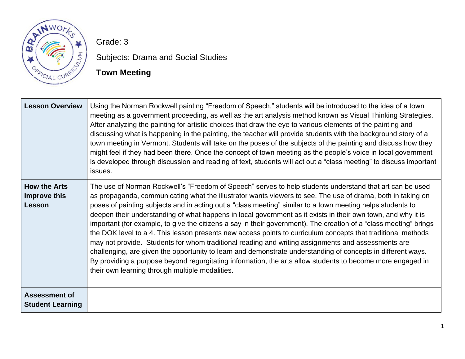

Grade: 3

Subjects: Drama and Social Studies

# **Town Meeting**

| <b>Lesson Overview</b>                          | Using the Norman Rockwell painting "Freedom of Speech," students will be introduced to the idea of a town<br>meeting as a government proceeding, as well as the art analysis method known as Visual Thinking Strategies.<br>After analyzing the painting for artistic choices that draw the eye to various elements of the painting and<br>discussing what is happening in the painting, the teacher will provide students with the background story of a<br>town meeting in Vermont. Students will take on the poses of the subjects of the painting and discuss how they<br>might feel if they had been there. Once the concept of town meeting as the people's voice in local government<br>is developed through discussion and reading of text, students will act out a "class meeting" to discuss important<br>issues.                                                                                                                                                                                                                                                       |
|-------------------------------------------------|-----------------------------------------------------------------------------------------------------------------------------------------------------------------------------------------------------------------------------------------------------------------------------------------------------------------------------------------------------------------------------------------------------------------------------------------------------------------------------------------------------------------------------------------------------------------------------------------------------------------------------------------------------------------------------------------------------------------------------------------------------------------------------------------------------------------------------------------------------------------------------------------------------------------------------------------------------------------------------------------------------------------------------------------------------------------------------------|
| <b>How the Arts</b><br>Improve this<br>Lesson   | The use of Norman Rockwell's "Freedom of Speech" serves to help students understand that art can be used<br>as propaganda, communicating what the illustrator wants viewers to see. The use of drama, both in taking on<br>poses of painting subjects and in acting out a "class meeting" similar to a town meeting helps students to<br>deepen their understanding of what happens in local government as it exists in their own town, and why it is<br>important (for example, to give the citizens a say in their government). The creation of a "class meeting" brings<br>the DOK level to a 4. This lesson presents new access points to curriculum concepts that traditional methods<br>may not provide. Students for whom traditional reading and writing assignments and assessments are<br>challenging, are given the opportunity to learn and demonstrate understanding of concepts in different ways.<br>By providing a purpose beyond regurgitating information, the arts allow students to become more engaged in<br>their own learning through multiple modalities. |
| <b>Assessment of</b><br><b>Student Learning</b> |                                                                                                                                                                                                                                                                                                                                                                                                                                                                                                                                                                                                                                                                                                                                                                                                                                                                                                                                                                                                                                                                                   |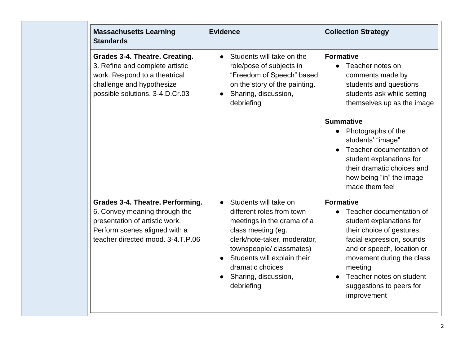| <b>Massachusetts Learning</b><br><b>Standards</b>                                                                                                                         | <b>Evidence</b>                                                                                                                                                                                                                                            | <b>Collection Strategy</b>                                                                                                                                                                                                                                                      |
|---------------------------------------------------------------------------------------------------------------------------------------------------------------------------|------------------------------------------------------------------------------------------------------------------------------------------------------------------------------------------------------------------------------------------------------------|---------------------------------------------------------------------------------------------------------------------------------------------------------------------------------------------------------------------------------------------------------------------------------|
| <b>Grades 3-4. Theatre. Creating.</b><br>3. Refine and complete artistic<br>work. Respond to a theatrical<br>challenge and hypothesize<br>possible solutions. 3-4.D.Cr.03 | Students will take on the<br>$\bullet$<br>role/pose of subjects in<br>"Freedom of Speech" based<br>on the story of the painting.<br>Sharing, discussion,<br>debriefing                                                                                     | <b>Formative</b><br>Teacher notes on<br>comments made by<br>students and questions<br>students ask while setting<br>themselves up as the image                                                                                                                                  |
|                                                                                                                                                                           |                                                                                                                                                                                                                                                            | <b>Summative</b><br>• Photographs of the<br>students' "image"<br>Teacher documentation of<br>student explanations for<br>their dramatic choices and<br>how being "in" the image<br>made them feel                                                                               |
| Grades 3-4. Theatre. Performing.<br>6. Convey meaning through the<br>presentation of artistic work.<br>Perform scenes aligned with a<br>teacher directed mood, 3-4.T.P.06 | Students will take on<br>different roles from town<br>meetings in the drama of a<br>class meeting (eg.<br>clerk/note-taker, moderator,<br>townspeople/classmates)<br>Students will explain their<br>dramatic choices<br>Sharing, discussion,<br>debriefing | <b>Formative</b><br>Teacher documentation of<br>student explanations for<br>their choice of gestures,<br>facial expression, sounds<br>and or speech, location or<br>movement during the class<br>meeting<br>Teacher notes on student<br>suggestions to peers for<br>improvement |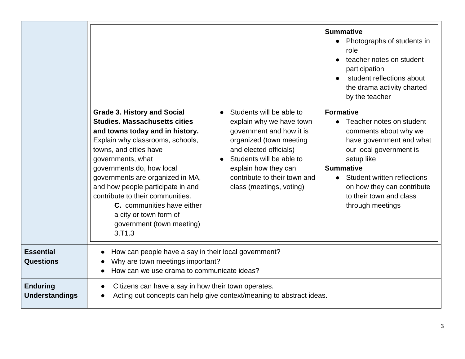|                                          |                                                                                                                                                                                                                                                                                                                                                                                                                                            |                                                                                                                                                                                                                                                       | <b>Summative</b><br>Photographs of students in<br>$\bullet$<br>role<br>teacher notes on student<br>participation<br>student reflections about<br>the drama activity charted<br>by the teacher                                                                                |
|------------------------------------------|--------------------------------------------------------------------------------------------------------------------------------------------------------------------------------------------------------------------------------------------------------------------------------------------------------------------------------------------------------------------------------------------------------------------------------------------|-------------------------------------------------------------------------------------------------------------------------------------------------------------------------------------------------------------------------------------------------------|------------------------------------------------------------------------------------------------------------------------------------------------------------------------------------------------------------------------------------------------------------------------------|
|                                          | <b>Grade 3. History and Social</b><br><b>Studies. Massachusetts cities</b><br>and towns today and in history.<br>Explain why classrooms, schools,<br>towns, and cities have<br>governments, what<br>governments do, how local<br>governments are organized in MA,<br>and how people participate in and<br>contribute to their communities.<br>C. communities have either<br>a city or town form of<br>government (town meeting)<br>3. T1.3 | Students will be able to<br>explain why we have town<br>government and how it is<br>organized (town meeting<br>and elected officials)<br>Students will be able to<br>explain how they can<br>contribute to their town and<br>class (meetings, voting) | <b>Formative</b><br>Teacher notes on student<br>comments about why we<br>have government and what<br>our local government is<br>setup like<br><b>Summative</b><br>• Student written reflections<br>on how they can contribute<br>to their town and class<br>through meetings |
| <b>Essential</b><br><b>Questions</b>     | How can people have a say in their local government?<br>Why are town meetings important?<br>How can we use drama to communicate ideas?                                                                                                                                                                                                                                                                                                     |                                                                                                                                                                                                                                                       |                                                                                                                                                                                                                                                                              |
| <b>Enduring</b><br><b>Understandings</b> | Citizens can have a say in how their town operates.                                                                                                                                                                                                                                                                                                                                                                                        | Acting out concepts can help give context/meaning to abstract ideas.                                                                                                                                                                                  |                                                                                                                                                                                                                                                                              |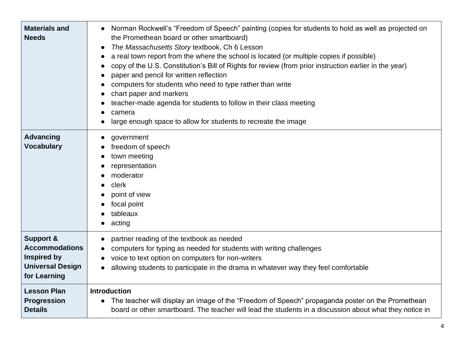| <b>Materials and</b><br><b>Needs</b>                                                                           | Norman Rockwell's "Freedom of Speech" painting (copies for students to hold as well as projected on<br>the Promethean board or other smartboard)<br>The Massachusetts Story textbook, Ch 6 Lesson<br>$\bullet$<br>a real town report from the where the school is located (or multiple copies if possible)<br>copy of the U.S. Constitution's Bill of Rights for review (from prior instruction earlier in the year)<br>paper and pencil for written reflection<br>6<br>computers for students who need to type rather than write<br>chart paper and markers<br>teacher-made agenda for students to follow in their class meeting<br>camera<br>large enough space to allow for students to recreate the image |
|----------------------------------------------------------------------------------------------------------------|---------------------------------------------------------------------------------------------------------------------------------------------------------------------------------------------------------------------------------------------------------------------------------------------------------------------------------------------------------------------------------------------------------------------------------------------------------------------------------------------------------------------------------------------------------------------------------------------------------------------------------------------------------------------------------------------------------------|
| <b>Advancing</b><br><b>Vocabulary</b>                                                                          | government<br>freedom of speech<br>town meeting<br>representation<br>moderator<br>clerk<br>point of view<br>focal point<br>tableaux<br>acting                                                                                                                                                                                                                                                                                                                                                                                                                                                                                                                                                                 |
| <b>Support &amp;</b><br><b>Accommodations</b><br><b>Inspired by</b><br><b>Universal Design</b><br>for Learning | partner reading of the textbook as needed<br>computers for typing as needed for students with writing challenges<br>voice to text option on computers for non-writers<br>allowing students to participate in the drama in whatever way they feel comfortable                                                                                                                                                                                                                                                                                                                                                                                                                                                  |
| <b>Lesson Plan</b><br>Progression<br><b>Details</b>                                                            | <b>Introduction</b><br>The teacher will display an image of the "Freedom of Speech" propaganda poster on the Promethean<br>board or other smartboard. The teacher will lead the students in a discussion about what they notice in                                                                                                                                                                                                                                                                                                                                                                                                                                                                            |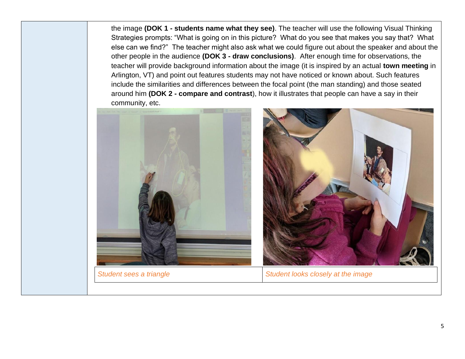the image **(DOK 1 - students name what they see)**. The teacher will use the following Visual Thinking Strategies prompts: "What is going on in this picture? What do you see that makes you say that? What else can we find?" The teacher might also ask what we could figure out about the speaker and about the other people in the audience **(DOK 3 - draw conclusions)**. After enough time for observations, the teacher will provide background information about the image (it is inspired by an actual **town meeting** in Arlington, VT) and point out features students may not have noticed or known about. Such features include the similarities and differences between the focal point (the man standing) and those seated around him **(DOK 2 - compare and contrast**), how it illustrates that people can have a say in their community, etc.

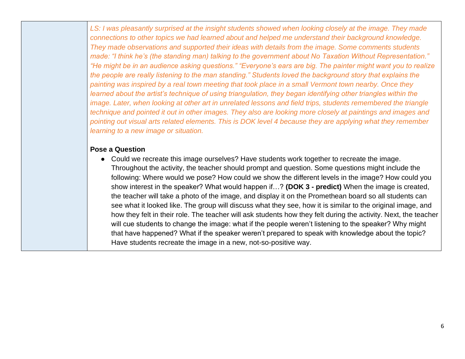*LS: I was pleasantly surprised at the insight students showed when looking closely at the image. They made connections to other topics we had learned about and helped me understand their background knowledge. They made observations and supported their ideas with details from the image. Some comments students made: "I think he's (the standing man) talking to the government about No Taxation Without Representation." "He might be in an audience asking questions." "Everyone's ears are big. The painter might want you to realize the people are really listening to the man standing." Students loved the background story that explains the painting was inspired by a real town meeting that took place in a small Vermont town nearby. Once they learned about the artist's technique of using triangulation, they began identifying other triangles within the image. Later, when looking at other art in unrelated lessons and field trips, students remembered the triangle technique and pointed it out in other images. They also are looking more closely at paintings and images and pointing out visual arts related elements. This is DOK level 4 because they are applying what they remember learning to a new image or situation.*

# **Pose a Question**

● Could we recreate this image ourselves? Have students work together to recreate the image. Throughout the activity, the teacher should prompt and question. Some questions might include the following: Where would we pose? How could we show the different levels in the image? How could you show interest in the speaker? What would happen if…? **(DOK 3 - predict)** When the image is created, the teacher will take a photo of the image, and display it on the Promethean board so all students can see what it looked like. The group will discuss what they see, how it is similar to the original image, and how they felt in their role. The teacher will ask students how they felt during the activity. Next, the teacher will cue students to change the image: what if the people weren't listening to the speaker? Why might that have happened? What if the speaker weren't prepared to speak with knowledge about the topic? Have students recreate the image in a new, not-so-positive way.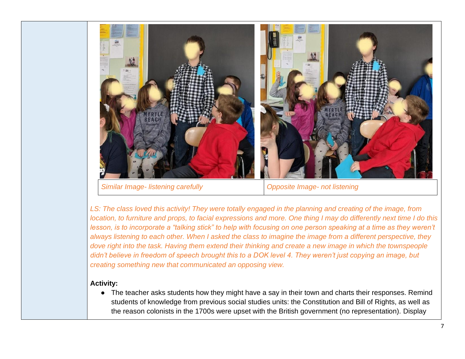

*Similar Image- listening carefully Opposite Image- not listening*

*LS: The class loved this activity! They were totally engaged in the planning and creating of the image, from location, to furniture and props, to facial expressions and more. One thing I may do differently next time I do this lesson, is to incorporate a "talking stick" to help with focusing on one person speaking at a time as they weren't always listening to each other. When I asked the class to imagine the image from a different perspective, they dove right into the task. Having them extend their thinking and create a new image in which the townspeople didn't believe in freedom of speech brought this to a DOK level 4. They weren't just copying an image, but creating something new that communicated an opposing view.*

### **Activity:**

● The teacher asks students how they might have a say in their town and charts their responses. Remind students of knowledge from previous social studies units: the Constitution and Bill of Rights, as well as the reason colonists in the 1700s were upset with the British government (no representation). Display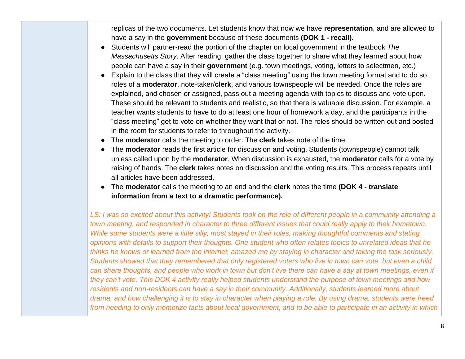replicas of the two documents. Let students know that now we have **representation**, and are allowed to have a say in the **government** because of these documents **(DOK 1 - recall).**

- Students will partner-read the portion of the chapter on local government in the textbook *The Massachusetts Story*. After reading, gather the class together to share what they learned about how people can have a say in their **government** (e.g. town meetings, voting, letters to selectmen, etc.)
- Explain to the class that they will create a "class meeting" using the town meeting format and to do so roles of a **moderator**, note-taker/**clerk**, and various townspeople will be needed. Once the roles are explained, and chosen or assigned, pass out a meeting agenda with topics to discuss and vote upon. These should be relevant to students and realistic, so that there is valuable discussion. For example, a teacher wants students to have to do at least one hour of homework a day, and the participants in the "class meeting" get to vote on whether they want that or not. The roles should be written out and posted in the room for students to refer to throughout the activity.
- The **moderator** calls the meeting to order. The **clerk** takes note of the time.
- The **moderator** reads the first article for discussion and voting. Students (townspeople) cannot talk unless called upon by the **moderator**. When discussion is exhausted, the **moderator** calls for a vote by raising of hands. The **clerk** takes notes on discussion and the voting results. This process repeats until all articles have been addressed.
- The **moderator** calls the meeting to an end and the **clerk** notes the time **(DOK 4 - translate information from a text to a dramatic performance).**

*LS: I was so excited about this activity! Students took on the role of different people in a community attending a town meeting, and responded in character to three different issues that could really apply to their hometown. While some students were a little silly, most stayed in their roles, making thoughtful comments and stating opinions with details to support their thoughts. One student who often relates topics to unrelated ideas that he thinks he knows or learned from the internet, amazed me by staying in character and taking the task seriously. Students showed that they remembered that only registered voters who live in town can vote, but even a child can share thoughts, and people who work in town but don't live there can have a say at town meetings, even if they can't vote. This DOK 4 activity really helped students understand the purpose of town meetings and how residents and non-residents can have a say in their community. Additionally, students learned more about drama, and how challenging it is to stay in character when playing a role. By using drama, students were freed from needing to only memorize facts about local government, and to be able to participate in an activity in which*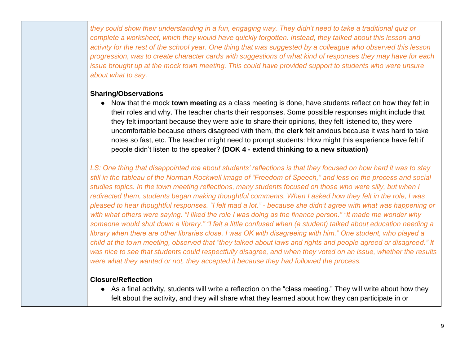*they could show their understanding in a fun, engaging way. They didn't need to take a traditional quiz or complete a worksheet, which they would have quickly forgotten. Instead, they talked about this lesson and activity for the rest of the school year. One thing that was suggested by a colleague who observed this lesson progression, was to create character cards with suggestions of what kind of responses they may have for each issue brought up at the mock town meeting. This could have provided support to students who were unsure about what to say.*

# **Sharing/Observations**

● Now that the mock **town meeting** as a class meeting is done, have students reflect on how they felt in their roles and why. The teacher charts their responses. Some possible responses might include that they felt important because they were able to share their opinions, they felt listened to, they were uncomfortable because others disagreed with them, the **clerk** felt anxious because it was hard to take notes so fast, etc. The teacher might need to prompt students: How might this experience have felt if people didn't listen to the speaker? **(DOK 4 - extend thinking to a new situation)**

*LS: One thing that disappointed me about students' reflections is that they focused on how hard it was to stay still in the tableau of the Norman Rockwell image of "Freedom of Speech," and less on the process and social studies topics. In the town meeting reflections, many students focused on those who were silly, but when I redirected them, students began making thoughtful comments. When I asked how they felt in the role, I was pleased to hear thoughtful responses. "I felt mad a lot." - because she didn't agree with what was happening or with what others were saying. "I liked the role I was doing as the finance person." "It made me wonder why someone would shut down a library." "I felt a little confused when (a student) talked about education needing a library when there are other libraries close. I was OK with disagreeing with him." One student, who played a child at the town meeting, observed that "they talked about laws and rights and people agreed or disagreed." It was nice to see that students could respectfully disagree, and when they voted on an issue, whether the results were what they wanted or not, they accepted it because they had followed the process.*

# **Closure/Reflection**

● As a final activity, students will write a reflection on the "class meeting." They will write about how they felt about the activity, and they will share what they learned about how they can participate in or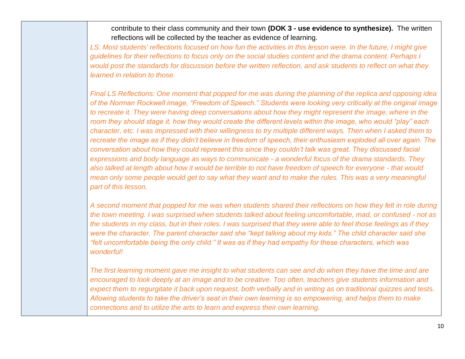contribute to their class community and their town **(DOK 3 - use evidence to synthesize).** The written reflections will be collected by the teacher as evidence of learning.

*LS: Most students' reflections focused on how fun the activities in this lesson were. In the future, I might give guidelines for their reflections to focus only on the social studies content and the drama content. Perhaps I would post the standards for discussion before the written reflection, and ask students to reflect on what they learned in relation to those.*

*Final LS Reflections: One moment that popped for me was during the planning of the replica and opposing idea of the Norman Rockwell image, "Freedom of Speech." Students were looking very critically at the original image to recreate it. They were having deep conversations about how they might represent the image, where in the room they should stage it, how they would create the different levels within the image, who would "play" each character, etc. I was impressed with their willingness to try multiple different ways. Then when I asked them to recreate the image as if they didn't believe in freedom of speech, their enthusiasm exploded all over again. The conversation about how they could represent this since they couldn't talk was great. They discussed facial expressions and body language as ways to communicate - a wonderful focus of the drama standards. They also talked at length about how it would be terrible to not have freedom of speech for everyone - that would mean only some people would get to say what they want and to make the rules. This was a very meaningful part of this lesson.*

*A second moment that popped for me was when students shared their reflections on how they felt in role during the town meeting. I was surprised when students talked about feeling uncomfortable, mad, or confused - not as the students in my class, but in their roles. I was surprised that they were able to feel those feelings as if they were the character. The parent character said she "kept talking about my kids." The child character said she "felt uncomfortable being the only child." It was as if they had empathy for these characters, which was wonderful!*

*The first learning moment gave me insight to what students can see and do when they have the time and are encouraged to look deeply at an image and to be creative. Too often, teachers give students information and expect them to regurgitate it back upon request, both verbally and in writing as on traditional quizzes and tests. Allowing students to take the driver's seat in their own learning is so empowering, and helps them to make connections and to utilize the arts to learn and express their own learning.*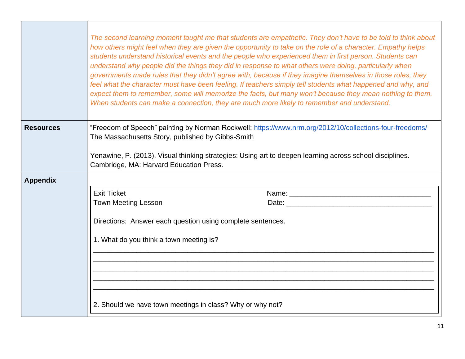|                  |                                                                                                       | The second learning moment taught me that students are empathetic. They don't have to be told to think about<br>how others might feel when they are given the opportunity to take on the role of a character. Empathy helps<br>students understand historical events and the people who experienced them in first person. Students can<br>understand why people did the things they did in response to what others were doing, particularly when<br>governments made rules that they didn't agree with, because if they imagine themselves in those roles, they<br>feel what the character must have been feeling. If teachers simply tell students what happened and why, and<br>expect them to remember, some will memorize the facts, but many won't because they mean nothing to them.<br>When students can make a connection, they are much more likely to remember and understand. |
|------------------|-------------------------------------------------------------------------------------------------------|------------------------------------------------------------------------------------------------------------------------------------------------------------------------------------------------------------------------------------------------------------------------------------------------------------------------------------------------------------------------------------------------------------------------------------------------------------------------------------------------------------------------------------------------------------------------------------------------------------------------------------------------------------------------------------------------------------------------------------------------------------------------------------------------------------------------------------------------------------------------------------------|
| <b>Resources</b> | The Massachusetts Story, published by Gibbs-Smith<br>Cambridge, MA: Harvard Education Press.          | "Freedom of Speech" painting by Norman Rockwell: https://www.nrm.org/2012/10/collections-four-freedoms/<br>Yenawine, P. (2013). Visual thinking strategies: Using art to deepen learning across school disciplines.                                                                                                                                                                                                                                                                                                                                                                                                                                                                                                                                                                                                                                                                      |
| <b>Appendix</b>  |                                                                                                       |                                                                                                                                                                                                                                                                                                                                                                                                                                                                                                                                                                                                                                                                                                                                                                                                                                                                                          |
|                  | <b>Exit Ticket</b>                                                                                    |                                                                                                                                                                                                                                                                                                                                                                                                                                                                                                                                                                                                                                                                                                                                                                                                                                                                                          |
|                  | <b>Town Meeting Lesson</b>                                                                            |                                                                                                                                                                                                                                                                                                                                                                                                                                                                                                                                                                                                                                                                                                                                                                                                                                                                                          |
|                  | Directions: Answer each question using complete sentences.<br>1. What do you think a town meeting is? |                                                                                                                                                                                                                                                                                                                                                                                                                                                                                                                                                                                                                                                                                                                                                                                                                                                                                          |
|                  | 2. Should we have town meetings in class? Why or why not?                                             |                                                                                                                                                                                                                                                                                                                                                                                                                                                                                                                                                                                                                                                                                                                                                                                                                                                                                          |